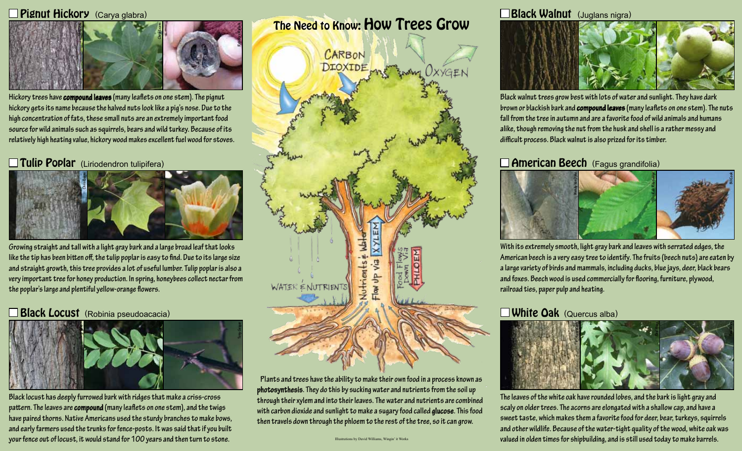#### Pignut Hickory (Carya glabra)



**Hickory trees have compound leaves (many leaflets on one stem). The pignut hickory gets its name because the halved nuts look like a pig's nose. Due to the high concentration of fats, these small nuts are an extremely important food source for wild animals such as squirrels, bears and wild turkey. Because of its relatively high heating value, hickory wood makes excellent fuel wood for stoves.**

## Tulip Poplar (Liriodendron tulipifera)



**Growing straight and tall with a light gray bark and a large broad leaf that looks like the tip has been bitten off, the tulip poplar is easy to find. Due to its large size and straight growth, this tree provides a lot of useful lumber. Tulip poplar is also a very important tree for honey production. In spring, honeybees collect nectar from the poplar's large and plentiful yellow-orange flowers.** 

### **Black Locust** (Robinia pseudoacacia)



**Black locust has deeply furrowed bark with ridges that make a criss-cross pattern. The leaves are compound (many leaflets on one stem), and the twigs have paired thorns. Native Americans used the sturdy branches to make bows, and early farmers used the trunks for fence-posts. It was said that if you built your fence out of locust, it would stand for 100 years and then turn to stone.** 

The Need to Know: How Trees Grow



**Plants and trees have the ability to make their own food in a process known as photosynthesis. They do this by sucking water and nutrients from the soil up through their xylem and into their leaves. The water and nutrients are combined with carbon dioxide and sunlight to make a sugary food called glucose. This food then travels down through the phloem to the rest of the tree, so it can grow.**

Black Walnut (Juglans nigra)



**Black walnut trees grow best with lots of water and sunlight. They have dark brown or blackish bark and compound leaves (many leaflets on one stem). The nuts fall from the tree in autumn and are a favorite food of wild animals and humans alike, though removing the nut from the husk and shell is a rather messy and difficult process. Black walnut is also prized for its timber.**

### **American Beech** (Fagus grandifolia)



**With its extremely smooth, light gray bark and leaves with serrated edges, the American beech is a very easy tree to identify. The fruits (beech nuts) are eaten by a large variety of birds and mammals, including ducks, blue jays, deer, black bears and foxes. Beech wood is used commercially for flooring, furniture, plywood, railroad ties, paper pulp and heating.** 

### **White Oak** (Quercus alba)



**The leaves of the white oak have rounded lobes, and the bark is light gray and scaly on older trees. The acorns are elongated with a shallow cap, and have a sweet taste, which makes them a favorite food for deer, bear, turkeys, squirrels and other wildlife. Because of the water-tight quality of the wood, white oak was**